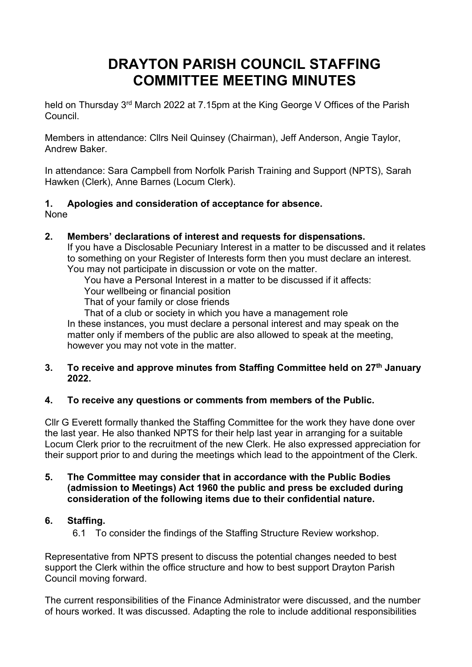## **DRAYTON PARISH COUNCIL STAFFING COMMITTEE MEETING MINUTES**

held on Thursday 3<sup>rd</sup> March 2022 at 7.15pm at the King George V Offices of the Parish Council.

Members in attendance: Cllrs Neil Quinsey (Chairman), Jeff Anderson, Angie Taylor, Andrew Baker.

In attendance: Sara Campbell from Norfolk Parish Training and Support (NPTS), Sarah Hawken (Clerk), Anne Barnes (Locum Clerk).

# **1. Apologies and consideration of acceptance for absence.**

None

## **2. Members' declarations of interest and requests for dispensations.**

If you have a Disclosable Pecuniary Interest in a matter to be discussed and it relates to something on your Register of Interests form then you must declare an interest. You may not participate in discussion or vote on the matter.

You have a Personal Interest in a matter to be discussed if it affects:

Your wellbeing or financial position

That of your family or close friends

That of a club or society in which you have a management role In these instances, you must declare a personal interest and may speak on the matter only if members of the public are also allowed to speak at the meeting, however you may not vote in the matter.

## **3. To receive and approve minutes from Staffing Committee held on 27th January 2022.**

## **4. To receive any questions or comments from members of the Public.**

Cllr G Everett formally thanked the Staffing Committee for the work they have done over the last year. He also thanked NPTS for their help last year in arranging for a suitable Locum Clerk prior to the recruitment of the new Clerk. He also expressed appreciation for their support prior to and during the meetings which lead to the appointment of the Clerk.

## **5. The Committee may consider that in accordance with the Public Bodies (admission to Meetings) Act 1960 the public and press be excluded during consideration of the following items due to their confidential nature.**

## **6. Staffing.**

6.1 To consider the findings of the Staffing Structure Review workshop.

Representative from NPTS present to discuss the potential changes needed to best support the Clerk within the office structure and how to best support Drayton Parish Council moving forward.

The current responsibilities of the Finance Administrator were discussed, and the number of hours worked. It was discussed. Adapting the role to include additional responsibilities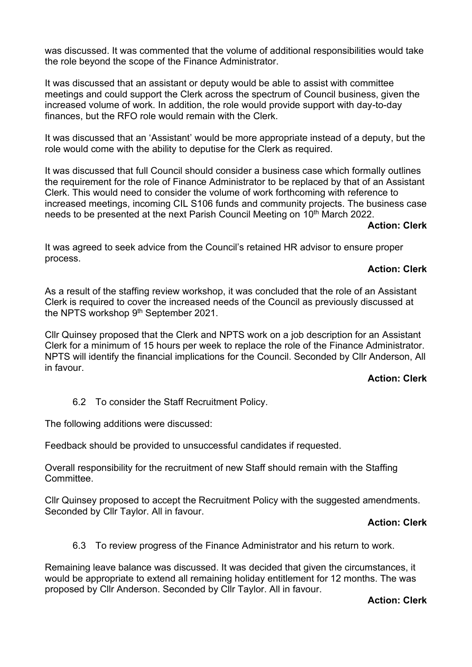was discussed. It was commented that the volume of additional responsibilities would take the role beyond the scope of the Finance Administrator.

It was discussed that an assistant or deputy would be able to assist with committee meetings and could support the Clerk across the spectrum of Council business, given the increased volume of work. In addition, the role would provide support with day-to-day finances, but the RFO role would remain with the Clerk.

It was discussed that an 'Assistant' would be more appropriate instead of a deputy, but the role would come with the ability to deputise for the Clerk as required.

It was discussed that full Council should consider a business case which formally outlines the requirement for the role of Finance Administrator to be replaced by that of an Assistant Clerk. This would need to consider the volume of work forthcoming with reference to increased meetings, incoming CIL S106 funds and community projects. The business case needs to be presented at the next Parish Council Meeting on 10<sup>th</sup> March 2022.

## **Action: Clerk**

It was agreed to seek advice from the Council's retained HR advisor to ensure proper process.

## **Action: Clerk**

As a result of the staffing review workshop, it was concluded that the role of an Assistant Clerk is required to cover the increased needs of the Council as previously discussed at the NPTS workshop 9<sup>th</sup> September 2021.

Cllr Quinsey proposed that the Clerk and NPTS work on a job description for an Assistant Clerk for a minimum of 15 hours per week to replace the role of the Finance Administrator. NPTS will identify the financial implications for the Council. Seconded by Cllr Anderson, All in favour.

## **Action: Clerk**

6.2 To consider the Staff Recruitment Policy.

The following additions were discussed:

Feedback should be provided to unsuccessful candidates if requested.

Overall responsibility for the recruitment of new Staff should remain with the Staffing **Committee** 

Cllr Quinsey proposed to accept the Recruitment Policy with the suggested amendments. Seconded by Cllr Taylor. All in favour.

#### **Action: Clerk**

6.3 To review progress of the Finance Administrator and his return to work.

Remaining leave balance was discussed. It was decided that given the circumstances, it would be appropriate to extend all remaining holiday entitlement for 12 months. The was proposed by Cllr Anderson. Seconded by Cllr Taylor. All in favour.

#### **Action: Clerk**